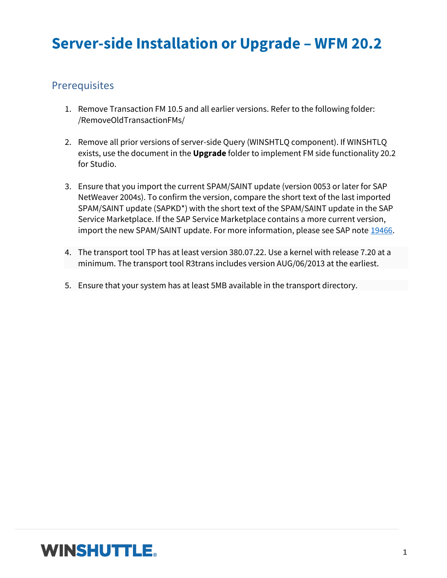# **Server-side Installation or Upgrade – WFM 20.2**

### **Prerequisites**

- 1. Remove Transaction FM 10.5 and all earlier versions. Refer to the following folder: /RemoveOldTransactionFMs/
- 2. Remove all prior versions of server-side Query (WINSHTLQ component). If WINSHTLQ exists, use the document in the **Upgrade** folder to implement FM side functionality 20.2 for Studio.
- 3. Ensure that you import the current SPAM/SAINT update (version 0053 or later for SAP NetWeaver 2004s). To confirm the version, compare the short text of the last imported SPAM/SAINT update (SAPKD\*) with the short text of the SPAM/SAINT update in the SAP Service Marketplace. If the SAP Service Marketplace contains a more current version, import the new SPAM/SAINT update. For more information, please see SAP note [19466.](https://launchpad.support.sap.com/#/notes/19466)
- 4. The transport tool TP has at least version 380.07.22. Use a kernel with release 7.20 at a minimum. The transport tool R3trans includes version AUG/06/2013 at the earliest.
- 5. Ensure that your system has at least 5MB available in the transport directory.

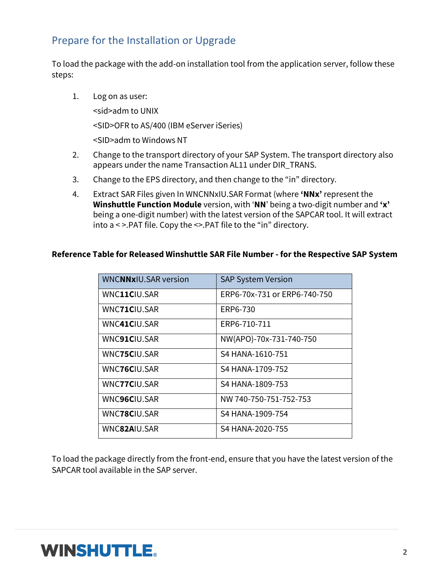## Prepare for the Installation or Upgrade

To load the package with the add-on installation tool from the application server, follow these steps:

1. Log on as user:

<sid>adm to UNIX

<SID>OFR to AS/400 (IBM eServer iSeries)

<SID>adm to Windows NT

- 2. Change to the transport directory of your SAP System. The transport directory also appears under the name Transaction AL11 under DIR\_TRANS.
- 3. Change to the EPS directory, and then change to the "in" directory.
- 4. Extract SAR Files given In WNCNNxIU.SAR Format (where **'NNx'** represent the **Winshuttle Function Module** version, with '**NN**' being a two-digit number and **'x'** being a one-digit number) with the latest version of the SAPCAR tool. It will extract into a < >.PAT file. Copy the <>.PAT file to the "in" directory.

#### **Reference Table for Released Winshuttle SAR File Number - for the Respective SAP System**

| <b>WNCNNxIU.SAR version</b> | <b>SAP System Version</b>    |
|-----------------------------|------------------------------|
| WNC11CIU.SAR                | ERP6-70x-731 or ERP6-740-750 |
| WNC71CIU.SAR                | ERP6-730                     |
| WNC41CIU.SAR                | ERP6-710-711                 |
| WNC91CIU.SAR                | NW(APO)-70x-731-740-750      |
| <b>WNC75CIU.SAR</b>         | S4 HANA-1610-751             |
| WNC76CIU.SAR                | S4 HANA-1709-752             |
| WNC77CIU.SAR                | S4 HANA-1809-753             |
| <b>WNC96CIU.SAR</b>         | NW 740-750-751-752-753       |
| WNC78CIU.SAR                | S4 HANA-1909-754             |
| WNC82AIU.SAR                | S4 HANA-2020-755             |

To load the package directly from the front-end, ensure that you have the latest version of the SAPCAR tool available in the SAP server.

## **WINSHUTTLE.**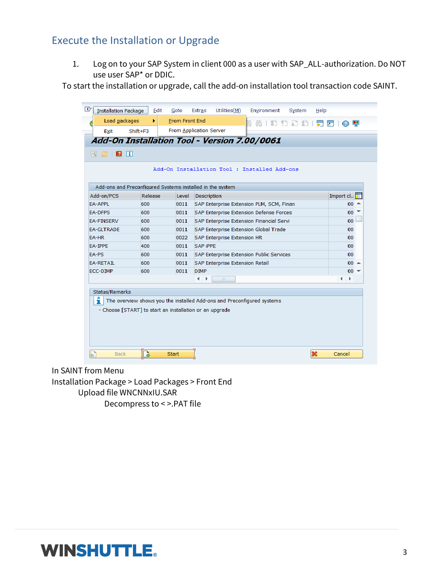## Execute the Installation or Upgrade

1. Log on to your SAP System in client 000 as a user with SAP\_ALL-authorization. Do NOT use user SAP\* or DDIC.

To start the installation or upgrade, call the add-on installation tool transaction code SAINT.

|                   |         |       | Add-On Installation Tool : Installed Add-ons                           |                 |  |
|-------------------|---------|-------|------------------------------------------------------------------------|-----------------|--|
|                   |         |       | Add-ons and Preconfigured Systems installed in the system              |                 |  |
| Add-on/PCS        | Release | Level | Description                                                            | Import cl       |  |
| <b>EA-APPL</b>    | 600     | 0011  | SAP Enterprise Extension PLM, SCM, Finan                               | $00 -$          |  |
| <b>EA-DFPS</b>    | 600     | 0011  | SAP Enterprise Extension Defense Forces                                | $00^{\circ}$    |  |
| <b>EA-FINSERV</b> | 600     | 0011  | SAP Enterprise Extension Financial Servi                               | 00              |  |
| <b>FA-GLTRADE</b> | 600     | 0011  | SAP Enterprise Extension Global Trade                                  | 00 <sup>1</sup> |  |
| EA-HR             | 600     | 0022  | <b>SAP Enterprise Extension HR</b><br>00 <sub>1</sub>                  |                 |  |
| EA-IPPE           | 400     | 0011  | <b>SAP IPPE</b><br>00 <sub>1</sub>                                     |                 |  |
| EA-PS             | 600     | 0011  | SAP Enterprise Extension Public Services                               | 00 <sub>0</sub> |  |
| <b>EA-RETAIL</b>  | 600     | 0011  | SAP Enterprise Extension Retail                                        | $00 -$          |  |
| ECC-DIMP          | 600     | 0011  | <b>DIMP</b>                                                            | $00 =$          |  |
|                   |         |       | ۰<br>$\frac{1}{2} \frac{1}{2} \frac{1}{2}$                             | ۰<br>٠          |  |
| Status/Remarks    |         |       |                                                                        |                 |  |
| ñ.                |         |       | The overview shows you the installed Add-ons and Preconfigured systems |                 |  |

In SAINT from Menu

Installation Package > Load Packages > Front End Upload file WNCNNxIU.SAR Decompress to < >.PAT file

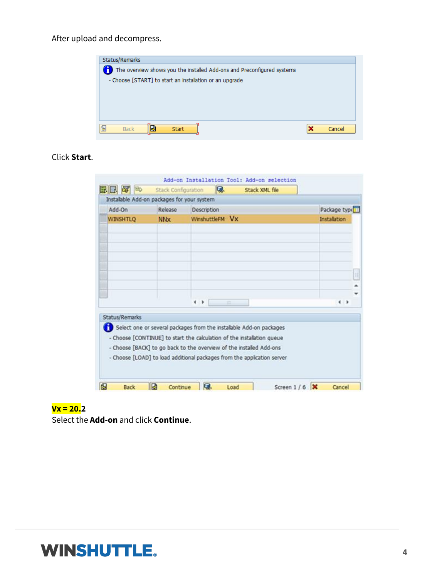After upload and decompress.



#### Click **Start**.

| Instalable Add-on packages for your system                                            |                       |                                |     |                                                                                                                                               |               |  |
|---------------------------------------------------------------------------------------|-----------------------|--------------------------------|-----|-----------------------------------------------------------------------------------------------------------------------------------------------|---------------|--|
| Add-On                                                                                | Release               | Description<br>WinshuttleFM Vx |     |                                                                                                                                               | Package type  |  |
| <b>WINSHTLQ</b>                                                                       | <b>NN<sub>x</sub></b> |                                |     |                                                                                                                                               | Installation  |  |
|                                                                                       |                       |                                |     |                                                                                                                                               |               |  |
|                                                                                       |                       |                                |     |                                                                                                                                               |               |  |
|                                                                                       |                       | $\rightarrow$                  | $=$ |                                                                                                                                               | $\rightarrow$ |  |
| Status/Remarks<br>- Choose [BACK] to go back to the overview of the installed Add-ons |                       |                                |     | Select one or several packages from the installable Add-on packages<br>- Choose [CONTINUE] to start the calculation of the installation queue |               |  |
|                                                                                       |                       |                                |     | - Choose [LOAD] to load additional packages from the application server                                                                       |               |  |

#### **Vx = 20.2**

Select the **Add-on** and click **Continue**.

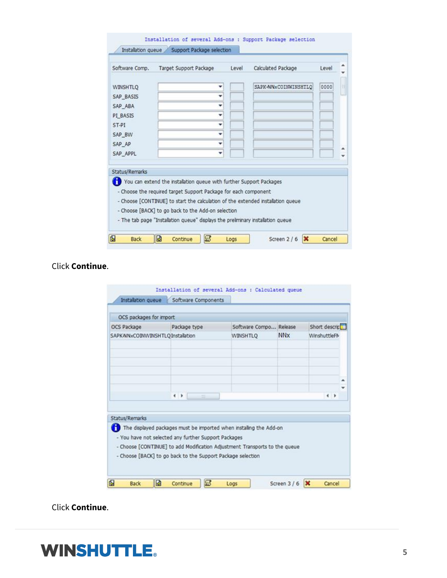| Software Comp.  | Target Support Package                                                          | Level                                              | Calculated Package   | Level |  |
|-----------------|---------------------------------------------------------------------------------|----------------------------------------------------|----------------------|-------|--|
| <b>WINSHTLQ</b> |                                                                                 |                                                    | SAPK-NNxCOINWINSHTLO | 0000  |  |
| SAP_BASIS       |                                                                                 |                                                    |                      |       |  |
| SAP ABA         | ٠                                                                               |                                                    |                      |       |  |
| PI BASIS        | ٠                                                                               |                                                    |                      |       |  |
| ST-PT           | ٠                                                                               |                                                    |                      |       |  |
| SAP BW          | ÷                                                                               |                                                    |                      |       |  |
| SAP AP          | ٠                                                                               |                                                    |                      |       |  |
| SAP APPL        | ٠                                                                               |                                                    |                      |       |  |
| Status/Remarks  |                                                                                 |                                                    |                      |       |  |
|                 | You can extend the installation queue with further Support Packages             |                                                    |                      |       |  |
|                 | - Choose the required target Support Package for each component                 |                                                    |                      |       |  |
|                 | - Choose [CONTINUE] to start the calculation of the extended installation queue |                                                    |                      |       |  |
|                 |                                                                                 | - Choose [BACK] to go back to the Add-on selection |                      |       |  |

Click **Continue**.

| OCS packages for import           |                                                                                                                                    |                                                                    |                       |                |
|-----------------------------------|------------------------------------------------------------------------------------------------------------------------------------|--------------------------------------------------------------------|-----------------------|----------------|
| OCS Package                       | Package type                                                                                                                       | Software Compo Release                                             |                       | Short descript |
| SAPK-NNxCOINWINSHTLQ Installation |                                                                                                                                    | <b>WINSHTLO</b>                                                    | <b>NN<sub>X</sub></b> | WinshuttleFM   |
|                                   |                                                                                                                                    |                                                                    |                       |                |
|                                   | $\left  \cdot \right $<br>$-11$                                                                                                    |                                                                    |                       | $\leftarrow$   |
| <b>Status/Remarks</b>             | - You have not selected any further Support Packages<br>- Choose [CONTINUE] to add Modification Adjustment Transports to the queue | The displayed packages must be imported when installing the Add-on |                       |                |

Click **Continue**.

# **WINSHUTTLE.**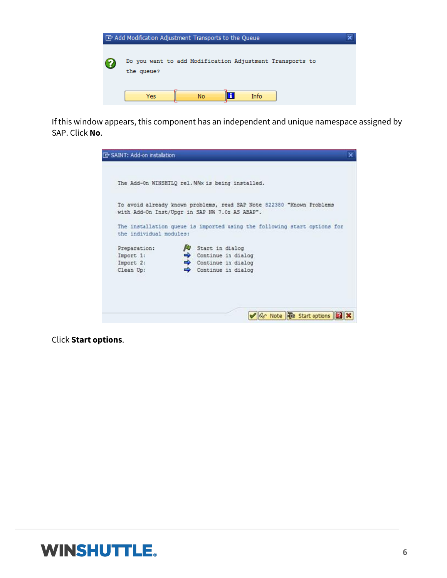

If this window appears, this component has an independent and unique namespace assigned by SAP. Click **No**.



Click **Start options**.

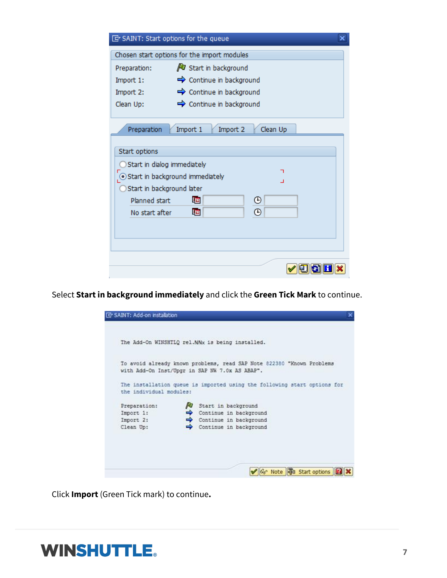| [cv] SAINT: Start options for the queue                                                     |                                             |  |
|---------------------------------------------------------------------------------------------|---------------------------------------------|--|
|                                                                                             | Chosen start options for the import modules |  |
| Preparation:                                                                                | V Start in background                       |  |
| Import 1:                                                                                   | $\Rightarrow$ Continue in background        |  |
| Import 2:                                                                                   | $\Rightarrow$ Continue in background        |  |
| Clean Up:                                                                                   | $\Rightarrow$ Continue in background        |  |
| Preparation<br>Start options                                                                | Import 1<br>Clean Up<br>Import 2            |  |
| Start in dialog immediately<br>Start in background immediately<br>Start in background later |                                             |  |
| Planned start<br>No start after                                                             | ⊕<br>牼<br>⊕<br>啯                            |  |
|                                                                                             |                                             |  |
|                                                                                             |                                             |  |

Select **Start in background immediately** and click the **Green Tick Mark** to continue.



Click **Import** (Green Tick mark) to continue**.**

# **WINSHUTTLE.**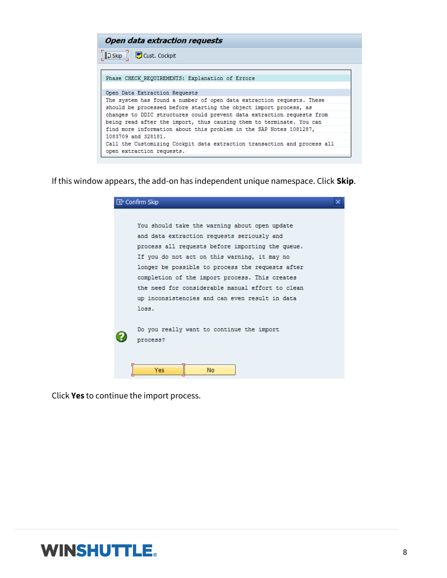| <b>Open data extraction requests</b>                                     |
|--------------------------------------------------------------------------|
| $\frac{1}{2}$ Skip $\frac{1}{2}$ Cust. Cockpit                           |
|                                                                          |
| Phase CHECK REQUIREMENTS: Explanation of Errors                          |
| Open Data Extraction Requests                                            |
| The system has found a number of open data extraction requests. These    |
| should be processed before starting the object import process, as        |
| changes to DDIC structures could prevent data extraction requests from   |
| being read after the import, thus causing them to terminate. You can     |
| find more information about this problem in the SAP Notes 1081287,       |
| 1083709 and 328181.                                                      |
| Call the Customizing Cockpit data extraction transaction and process all |
| open extraction requests.                                                |

If this window appears, the add-on has independent unique namespace. Click **Skip**.

| <b>『</b> Confirm Skip                            |  |
|--------------------------------------------------|--|
|                                                  |  |
| You should take the warning about open update    |  |
| and data extraction requests seriously and       |  |
| process all requests before importing the queue. |  |
| If you do not act on this warning, it may no     |  |
| longer be possible to process the requests after |  |
| completion of the import process. This creates   |  |
| the need for considerable manual effort to clean |  |
| up inconsistencies and can even result in data   |  |
| loss.                                            |  |
|                                                  |  |
| Do you really want to continue the import        |  |
| process?                                         |  |
|                                                  |  |
| Yes<br><b>No</b>                                 |  |

Click **Yes** to continue the import process.